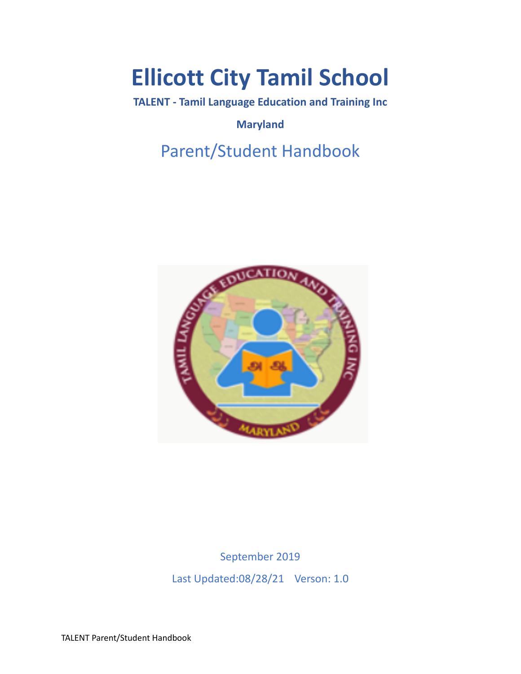# **Ellicott City Tamil School**

**TALENT - Tamil Language Education and Training Inc**

**Maryland**

# Parent/Student Handbook



September 2019 Last Updated:08/28/21 Verson: 1.0

TALENT Parent/Student Handbook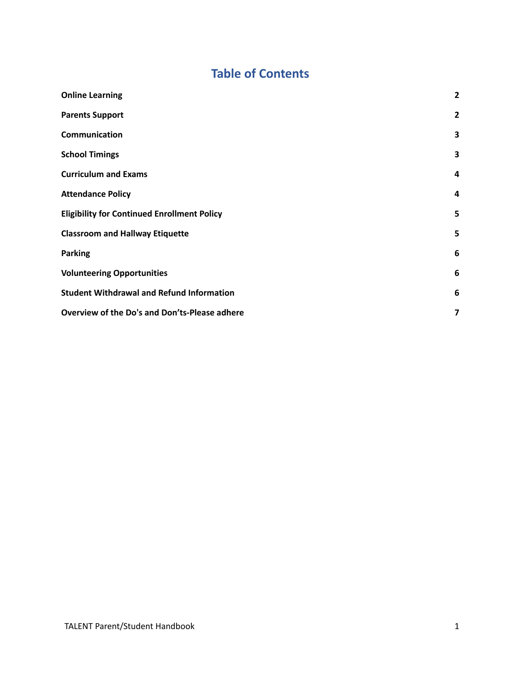## **Table of Contents**

| <b>Online Learning</b>                             | $\overline{\mathbf{c}}$ |
|----------------------------------------------------|-------------------------|
| <b>Parents Support</b>                             | $\overline{2}$          |
| Communication                                      | 3                       |
| <b>School Timings</b>                              | 3                       |
| <b>Curriculum and Exams</b>                        | 4                       |
| <b>Attendance Policy</b>                           | 4                       |
| <b>Eligibility for Continued Enrollment Policy</b> | 5                       |
| <b>Classroom and Hallway Etiquette</b>             | 5                       |
| <b>Parking</b>                                     | 6                       |
| <b>Volunteering Opportunities</b>                  | 6                       |
| <b>Student Withdrawal and Refund Information</b>   | 6                       |
| Overview of the Do's and Don'ts-Please adhere      | $\overline{\mathbf{z}}$ |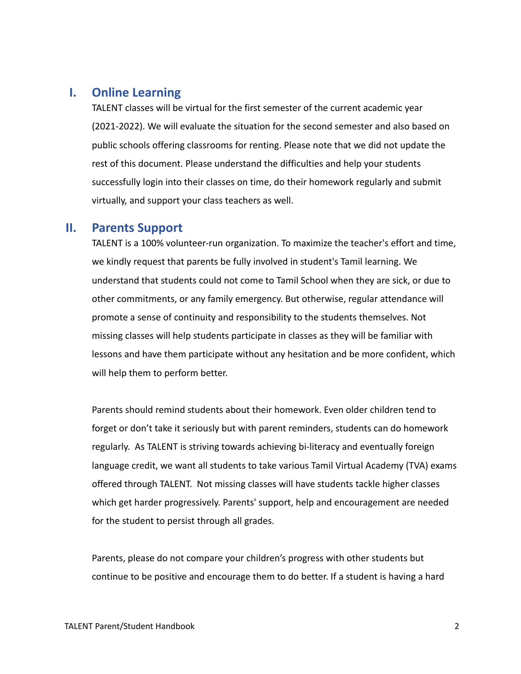#### <span id="page-2-0"></span>**I. Online Learning**

TALENT classes will be virtual for the first semester of the current academic year (2021-2022). We will evaluate the situation for the second semester and also based on public schools offering classrooms for renting. Please note that we did not update the rest of this document. Please understand the difficulties and help your students successfully login into their classes on time, do their homework regularly and submit virtually, and support your class teachers as well.

#### <span id="page-2-1"></span>**II. Parents Support**

TALENT is a 100% volunteer-run organization. To maximize the teacher's effort and time, we kindly request that parents be fully involved in student's Tamil learning. We understand that students could not come to Tamil School when they are sick, or due to other commitments, or any family emergency. But otherwise, regular attendance will promote a sense of continuity and responsibility to the students themselves. Not missing classes will help students participate in classes as they will be familiar with lessons and have them participate without any hesitation and be more confident, which will help them to perform better.

Parents should remind students about their homework. Even older children tend to forget or don't take it seriously but with parent reminders, students can do homework regularly. As TALENT is striving towards achieving bi-literacy and eventually foreign language credit, we want all students to take various Tamil Virtual Academy (TVA) exams offered through TALENT. Not missing classes will have students tackle higher classes which get harder progressively. Parents' support, help and encouragement are needed for the student to persist through all grades.

Parents, please do not compare your children's progress with other students but continue to be positive and encourage them to do better. If a student is having a hard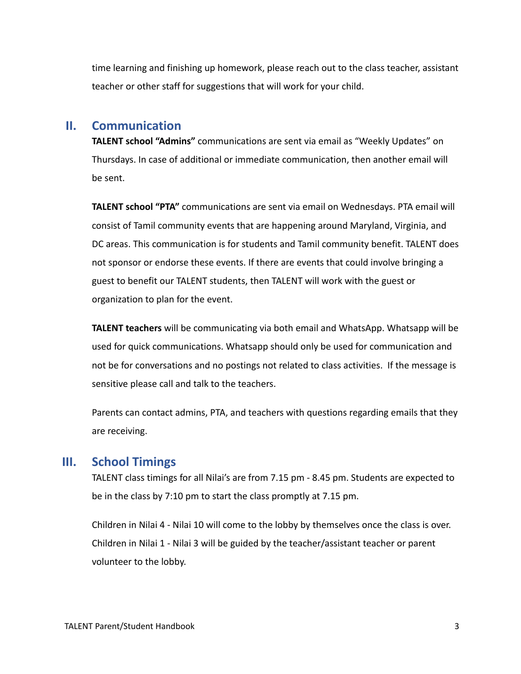time learning and finishing up homework, please reach out to the class teacher, assistant teacher or other staff for suggestions that will work for your child.

#### <span id="page-3-0"></span>**II. Communication**

**TALENT school "Admins"** communications are sent via email as "Weekly Updates" on Thursdays. In case of additional or immediate communication, then another email will be sent.

**TALENT school "PTA"** communications are sent via email on Wednesdays. PTA email will consist of Tamil community events that are happening around Maryland, Virginia, and DC areas. This communication is for students and Tamil community benefit. TALENT does not sponsor or endorse these events. If there are events that could involve bringing a guest to benefit our TALENT students, then TALENT will work with the guest or organization to plan for the event.

**TALENT teachers** will be communicating via both email and WhatsApp. Whatsapp will be used for quick communications. Whatsapp should only be used for communication and not be for conversations and no postings not related to class activities. If the message is sensitive please call and talk to the teachers.

Parents can contact admins, PTA, and teachers with questions regarding emails that they are receiving.

#### <span id="page-3-1"></span>**III. School Timings**

TALENT class timings for all Nilai's are from 7.15 pm - 8.45 pm. Students are expected to be in the class by 7:10 pm to start the class promptly at 7.15 pm.

Children in Nilai 4 - Nilai 10 will come to the lobby by themselves once the class is over. Children in Nilai 1 - Nilai 3 will be guided by the teacher/assistant teacher or parent volunteer to the lobby.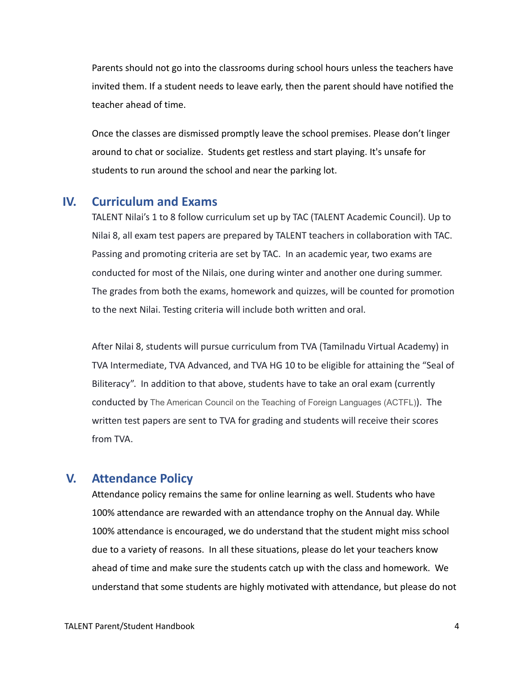Parents should not go into the classrooms during school hours unless the teachers have invited them. If a student needs to leave early, then the parent should have notified the teacher ahead of time.

Once the classes are dismissed promptly leave the school premises. Please don't linger around to chat or socialize. Students get restless and start playing. It's unsafe for students to run around the school and near the parking lot.

#### <span id="page-4-0"></span>**IV. Curriculum and Exams**

TALENT Nilai's 1 to 8 follow curriculum set up by TAC (TALENT Academic Council). Up to Nilai 8, all exam test papers are prepared by TALENT teachers in collaboration with TAC. Passing and promoting criteria are set by TAC. In an academic year, two exams are conducted for most of the Nilais, one during winter and another one during summer. The grades from both the exams, homework and quizzes, will be counted for promotion to the next Nilai. Testing criteria will include both written and oral.

After Nilai 8, students will pursue curriculum from TVA (Tamilnadu Virtual Academy) in TVA Intermediate, TVA Advanced, and TVA HG 10 to be eligible for attaining the "Seal of Biliteracy". In addition to that above, students have to take an oral exam (currently conducted by The American Council on the Teaching of Foreign Languages (ACTFL)). The written test papers are sent to TVA for grading and students will receive their scores from TVA.

#### <span id="page-4-1"></span>**V. Attendance Policy**

Attendance policy remains the same for online learning as well. Students who have 100% attendance are rewarded with an attendance trophy on the Annual day. While 100% attendance is encouraged, we do understand that the student might miss school due to a variety of reasons. In all these situations, please do let your teachers know ahead of time and make sure the students catch up with the class and homework. We understand that some students are highly motivated with attendance, but please do not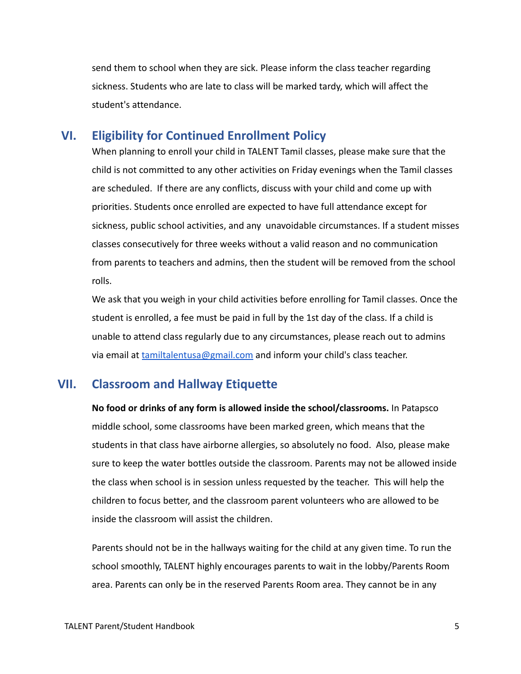send them to school when they are sick. Please inform the class teacher regarding sickness. Students who are late to class will be marked tardy, which will affect the student's attendance.

#### <span id="page-5-0"></span>**VI. Eligibility for Continued Enrollment Policy**

When planning to enroll your child in TALENT Tamil classes, please make sure that the child is not committed to any other activities on Friday evenings when the Tamil classes are scheduled. If there are any conflicts, discuss with your child and come up with priorities. Students once enrolled are expected to have full attendance except for sickness, public school activities, and any unavoidable circumstances. If a student misses classes consecutively for three weeks without a valid reason and no communication from parents to teachers and admins, then the student will be removed from the school rolls.

We ask that you weigh in your child activities before enrolling for Tamil classes. Once the student is enrolled, a fee must be paid in full by the 1st day of the class. If a child is unable to attend class regularly due to any circumstances, please reach out to admins via email at [tamiltalentusa@gmail.com](mailto:tamiltalentusa@gmail.com) and inform your child's class teacher.

#### <span id="page-5-1"></span>**VII. Classroom and Hallway Etiquette**

**No food or drinks of any form is allowed inside the school/classrooms.** In Patapsco middle school, some classrooms have been marked green, which means that the students in that class have airborne allergies, so absolutely no food. Also, please make sure to keep the water bottles outside the classroom. Parents may not be allowed inside the class when school is in session unless requested by the teacher. This will help the children to focus better, and the classroom parent volunteers who are allowed to be inside the classroom will assist the children.

Parents should not be in the hallways waiting for the child at any given time. To run the school smoothly, TALENT highly encourages parents to wait in the lobby/Parents Room area. Parents can only be in the reserved Parents Room area. They cannot be in any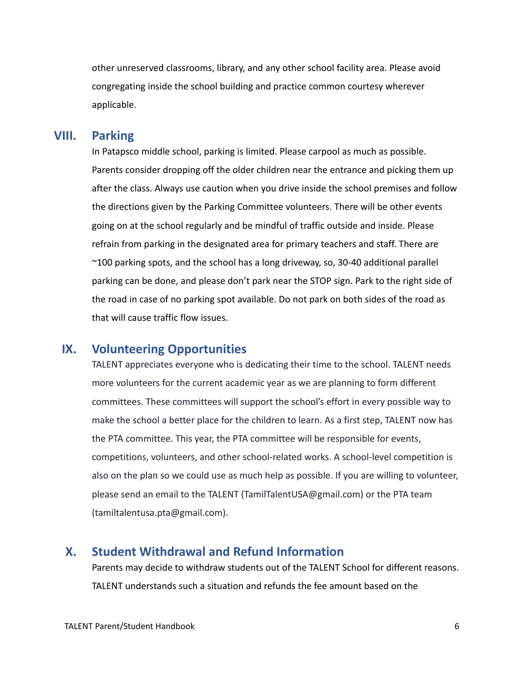other unreserved classrooms, library, and any other school facility area. Please avoid congregating inside the school building and practice common courtesy wherever applicable.

#### <span id="page-6-0"></span>**VIII. Parking**

In Patapsco middle school, parking is limited. Please carpool as much as possible. Parents consider dropping off the older children near the entrance and picking them up after the class. Always use caution when you drive inside the school premises and follow the directions given by the Parking Committee volunteers. There will be other events going on at the school regularly and be mindful of traffic outside and inside. Please refrain from parking in the designated area for primary teachers and staff. There are ~100 parking spots, and the school has a long driveway, so, 30-40 additional parallel parking can be done, and please don't park near the STOP sign. Park to the right side of the road in case of no parking spot available. Do not park on both sides of the road as that will cause traffic flow issues.

#### <span id="page-6-1"></span>**IX. Volunteering Opportunities**

TALENT appreciates everyone who is dedicating their time to the school. TALENT needs more volunteers for the current academic year as we are planning to form different committees. These committees will support the school's effort in every possible way to make the school a better place for the children to learn. As a first step, TALENT now has the PTA committee. This year, the PTA committee will be responsible for events, competitions, volunteers, and other school-related works. A school-level competition is also on the plan so we could use as much help as possible. If you are willing to volunteer, please send an email to the TALENT (TamilTalentUSA@gmail.com) or the PTA team (tamiltalentusa.pta@gmail.com).

#### <span id="page-6-2"></span>**X. Student Withdrawal and Refund Information**

Parents may decide to withdraw students out of the TALENT School for different reasons. TALENT understands such a situation and refunds the fee amount based on the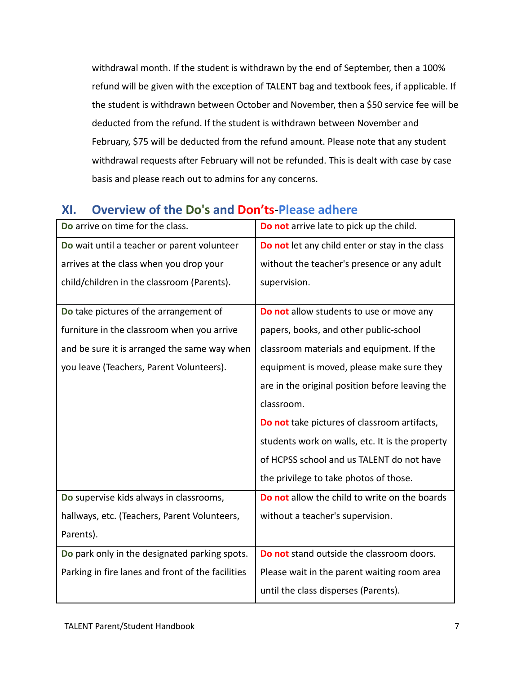withdrawal month. If the student is withdrawn by the end of September, then a 100% refund will be given with the exception of TALENT bag and textbook fees, if applicable. If the student is withdrawn between October and November, then a \$50 service fee will be deducted from the refund. If the student is withdrawn between November and February, \$75 will be deducted from the refund amount. Please note that any student withdrawal requests after February will not be refunded. This is dealt with case by case basis and please reach out to admins for any concerns.

| Do arrive on time for the class.                  | Do not arrive late to pick up the child.        |
|---------------------------------------------------|-------------------------------------------------|
| Do wait until a teacher or parent volunteer       | Do not let any child enter or stay in the class |
| arrives at the class when you drop your           | without the teacher's presence or any adult     |
| child/children in the classroom (Parents).        | supervision.                                    |
|                                                   |                                                 |
| Do take pictures of the arrangement of            | Do not allow students to use or move any        |
| furniture in the classroom when you arrive        | papers, books, and other public-school          |
| and be sure it is arranged the same way when      | classroom materials and equipment. If the       |
| you leave (Teachers, Parent Volunteers).          | equipment is moved, please make sure they       |
|                                                   | are in the original position before leaving the |
|                                                   | classroom.                                      |
|                                                   | Do not take pictures of classroom artifacts,    |
|                                                   | students work on walls, etc. It is the property |
|                                                   | of HCPSS school and us TALENT do not have       |
|                                                   | the privilege to take photos of those.          |
| Do supervise kids always in classrooms,           | Do not allow the child to write on the boards   |
| hallways, etc. (Teachers, Parent Volunteers,      | without a teacher's supervision.                |
| Parents).                                         |                                                 |
| Do park only in the designated parking spots.     | Do not stand outside the classroom doors.       |
| Parking in fire lanes and front of the facilities | Please wait in the parent waiting room area     |
|                                                   | until the class disperses (Parents).            |

### <span id="page-7-0"></span>**XI. Overview of the Do's and Don'ts**-**Please adhere**